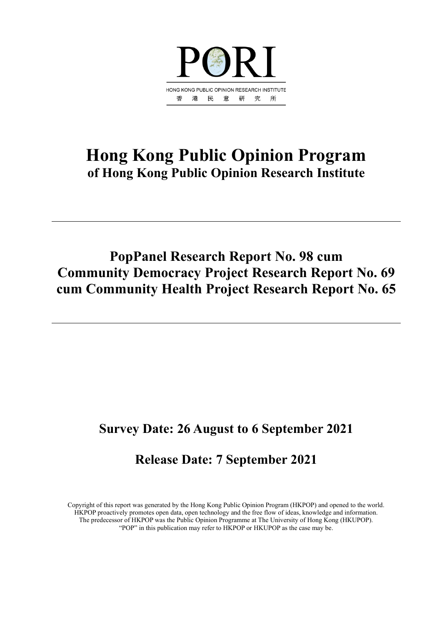

# **Hong Kong Public Opinion Program of Hong Kong Public Opinion Research Institute**

# **PopPanel Research Report No. 98 cum Community Democracy Project Research Report No. 69 cum Community Health Project Research Report No. 65**

# **Survey Date: 26 August to 6 September 2021**

# **Release Date: 7 September 2021**

Copyright of this report was generated by the Hong Kong Public Opinion Program (HKPOP) and opened to the world. HKPOP proactively promotes open data, open technology and the free flow of ideas, knowledge and information. The predecessor of HKPOP was the Public Opinion Programme at The University of Hong Kong (HKUPOP). "POP" in this publication may refer to HKPOP or HKUPOP as the case may be.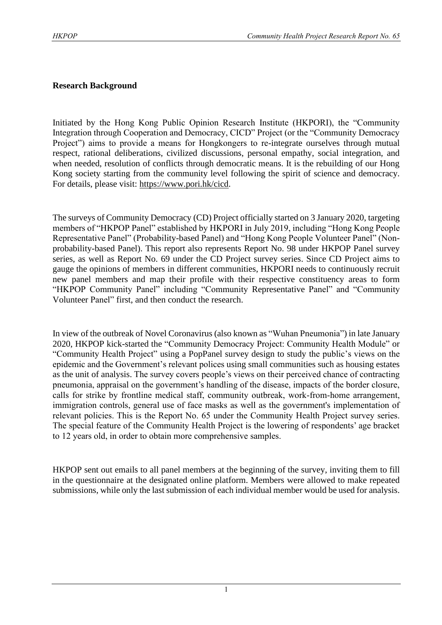#### **Research Background**

Initiated by the Hong Kong Public Opinion Research Institute (HKPORI), the "Community Integration through Cooperation and Democracy, CICD" Project (or the "Community Democracy Project") aims to provide a means for Hongkongers to re-integrate ourselves through mutual respect, rational deliberations, civilized discussions, personal empathy, social integration, and when needed, resolution of conflicts through democratic means. It is the rebuilding of our Hong Kong society starting from the community level following the spirit of science and democracy. For details, please visit: [https://www.pori.hk/cicd.](https://www.pori.hk/cicd)

The surveys of Community Democracy (CD) Project officially started on 3 January 2020, targeting members of "HKPOP Panel" established by HKPORI in July 2019, including "Hong Kong People Representative Panel" (Probability-based Panel) and "Hong Kong People Volunteer Panel" (Nonprobability-based Panel). This report also represents Report No. 98 under HKPOP Panel survey series, as well as Report No. 69 under the CD Project survey series. Since CD Project aims to gauge the opinions of members in different communities, HKPORI needs to continuously recruit new panel members and map their profile with their respective constituency areas to form "HKPOP Community Panel" including "Community Representative Panel" and "Community Volunteer Panel" first, and then conduct the research.

In view of the outbreak of Novel Coronavirus (also known as "Wuhan Pneumonia") in late January 2020, HKPOP kick-started the "Community Democracy Project: Community Health Module" or "Community Health Project" using a PopPanel survey design to study the public's views on the epidemic and the Government's relevant polices using small communities such as housing estates as the unit of analysis. The survey covers people's views on their perceived chance of contracting pneumonia, appraisal on the government's handling of the disease, impacts of the border closure, calls for strike by frontline medical staff, community outbreak, work-from-home arrangement, immigration controls, general use of face masks as well as the government's implementation of relevant policies. This is the Report No. 65 under the Community Health Project survey series. The special feature of the Community Health Project is the lowering of respondents' age bracket to 12 years old, in order to obtain more comprehensive samples.

HKPOP sent out emails to all panel members at the beginning of the survey, inviting them to fill in the questionnaire at the designated online platform. Members were allowed to make repeated submissions, while only the last submission of each individual member would be used for analysis.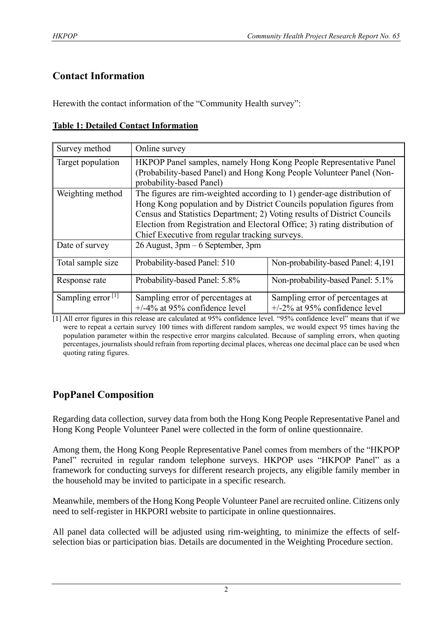## **Contact Information**

Herewith the contact information of the "Community Health survey":

#### **Table 1: Detailed Contact Information**

| Survey method                 | Online survey                                                                                                                                                                                                                                                                                                                                                |                                                                      |  |  |  |  |
|-------------------------------|--------------------------------------------------------------------------------------------------------------------------------------------------------------------------------------------------------------------------------------------------------------------------------------------------------------------------------------------------------------|----------------------------------------------------------------------|--|--|--|--|
| Target population             | HKPOP Panel samples, namely Hong Kong People Representative Panel<br>(Probability-based Panel) and Hong Kong People Volunteer Panel (Non-<br>probability-based Panel)                                                                                                                                                                                        |                                                                      |  |  |  |  |
| Weighting method              | The figures are rim-weighted according to 1) gender-age distribution of<br>Hong Kong population and by District Councils population figures from<br>Census and Statistics Department; 2) Voting results of District Councils<br>Election from Registration and Electoral Office; 3) rating distribution of<br>Chief Executive from regular tracking surveys. |                                                                      |  |  |  |  |
| Date of survey                | 26 August, 3pm – 6 September, 3pm                                                                                                                                                                                                                                                                                                                            |                                                                      |  |  |  |  |
| Total sample size             | Probability-based Panel: 510                                                                                                                                                                                                                                                                                                                                 | Non-probability-based Panel: 4,191                                   |  |  |  |  |
| Response rate                 | Probability-based Panel: 5.8%                                                                                                                                                                                                                                                                                                                                | Non-probability-based Panel: 5.1%                                    |  |  |  |  |
| Sampling error <sup>[1]</sup> | Sampling error of percentages at<br>$+/-4\%$ at 95% confidence level                                                                                                                                                                                                                                                                                         | Sampling error of percentages at<br>$+/-2\%$ at 95% confidence level |  |  |  |  |

[1] All error figures in this release are calculated at 95% confidence level. "95% confidence level" means that if we were to repeat a certain survey 100 times with different random samples, we would expect 95 times having the population parameter within the respective error margins calculated. Because of sampling errors, when quoting percentages, journalists should refrain from reporting decimal places, whereas one decimal place can be used when quoting rating figures.

## **PopPanel Composition**

Regarding data collection, survey data from both the Hong Kong People Representative Panel and Hong Kong People Volunteer Panel were collected in the form of online questionnaire.

Among them, the Hong Kong People Representative Panel comes from members of the "HKPOP Panel" recruited in regular random telephone surveys. HKPOP uses "HKPOP Panel" as a framework for conducting surveys for different research projects, any eligible family member in the household may be invited to participate in a specific research.

Meanwhile, members of the Hong Kong People Volunteer Panel are recruited online. Citizens only need to self-register in HKPORI website to participate in online questionnaires.

All panel data collected will be adjusted using rim-weighting, to minimize the effects of selfselection bias or participation bias. Details are documented in the Weighting Procedure section.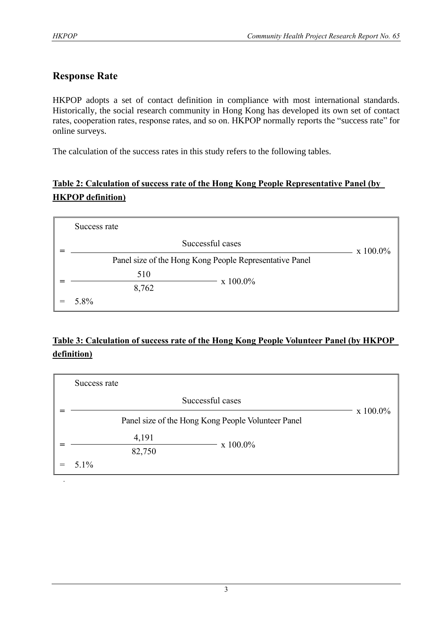.

## **Response Rate**

HKPOP adopts a set of contact definition in compliance with most international standards. Historically, the social research community in Hong Kong has developed its own set of contact rates, cooperation rates, response rates, and so on. HKPOP normally reports the "success rate" for online surveys.

The calculation of the success rates in this study refers to the following tables.

## **Table 2: Calculation of success rate of the Hong Kong People Representative Panel (by HKPOP definition)**

| Success rate                                            |                  |  |
|---------------------------------------------------------|------------------|--|
| Successful cases                                        | $x\ 100.0\%$     |  |
| Panel size of the Hong Kong People Representative Panel |                  |  |
| 510                                                     | $\rm x\;100.0\%$ |  |
| 8,762                                                   |                  |  |
| 5.8%                                                    |                  |  |

## **Table 3: Calculation of success rate of the Hong Kong People Volunteer Panel (by HKPOP definition)**

| Success rate                                       |             |  |  |  |  |  |  |
|----------------------------------------------------|-------------|--|--|--|--|--|--|
| Successful cases                                   | $x 100.0\%$ |  |  |  |  |  |  |
| Panel size of the Hong Kong People Volunteer Panel |             |  |  |  |  |  |  |
| 4,191                                              | x 100.0%    |  |  |  |  |  |  |
| 82,750                                             |             |  |  |  |  |  |  |
| $5.1\%$                                            |             |  |  |  |  |  |  |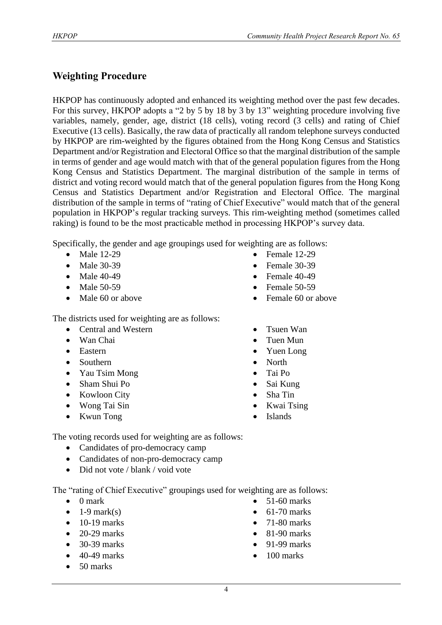## **Weighting Procedure**

HKPOP has continuously adopted and enhanced its weighting method over the past few decades. For this survey, HKPOP adopts a "2 by 5 by 18 by 3 by 13" weighting procedure involving five variables, namely, gender, age, district (18 cells), voting record (3 cells) and rating of Chief Executive (13 cells). Basically, the raw data of practically all random telephone surveys conducted by HKPOP are rim-weighted by the figures obtained from the Hong Kong Census and Statistics Department and/or Registration and Electoral Office so that the marginal distribution of the sample in terms of gender and age would match with that of the general population figures from the Hong Kong Census and Statistics Department. The marginal distribution of the sample in terms of district and voting record would match that of the general population figures from the Hong Kong Census and Statistics Department and/or Registration and Electoral Office. The marginal distribution of the sample in terms of "rating of Chief Executive" would match that of the general population in HKPOP's regular tracking surveys. This rim-weighting method (sometimes called raking) is found to be the most practicable method in processing HKPOP's survey data.

Specifically, the gender and age groupings used for weighting are as follows:

- Male 12-29
- Male 30-39
- Male 40-49
- Male 50-59
- Male 60 or above
- The districts used for weighting are as follows:
	- Central and Western
	- Wan Chai
	- Eastern
	- Southern
	- Yau Tsim Mong
	- Sham Shui Po
	- Kowloon City
	- Wong Tai Sin
	- Kwun Tong
- Female 12-29
- Female 30-39
- Female 40-49
- Female 50-59
- Female 60 or above
- Tsuen Wan
- Tuen Mun
- Yuen Long
- North
- Tai Po
- Sai Kung
- Sha Tin
- Kwai Tsing
- Islands

The voting records used for weighting are as follows:

- Candidates of pro-democracy camp
- Candidates of non-pro-democracy camp
- Did not vote / blank / void vote

The "rating of Chief Executive" groupings used for weighting are as follows:

- 0 mark
- $\bullet$  1-9 mark(s)
- $\bullet$  10-19 marks
- 20-29 marks
- 30-39 marks
- $\bullet$  40-49 marks
- 50 marks
- 51-60 marks
- $\bullet$  61-70 marks
- 71-80 marks
- 81-90 marks
- 91-99 marks
- $\bullet$  100 marks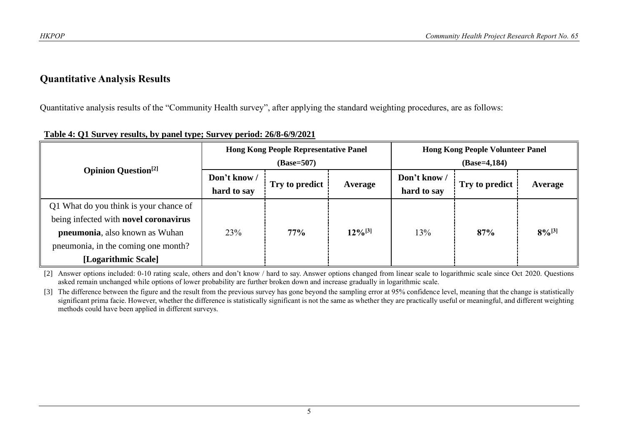#### **Quantitative Analysis Results**

Quantitative analysis results of the "Community Health survey", after applying the standard weighting procedures, are as follows:

|                                                                                                                                                                                 |                             | <b>Hong Kong People Representative Panel</b><br>$(Base=507)$ |              | <b>Hong Kong People Volunteer Panel</b><br>$(Base=4,184)$ |                |             |  |
|---------------------------------------------------------------------------------------------------------------------------------------------------------------------------------|-----------------------------|--------------------------------------------------------------|--------------|-----------------------------------------------------------|----------------|-------------|--|
| <b>Opinion Question</b> <sup>[2]</sup>                                                                                                                                          | Don't know /<br>hard to say | Try to predict                                               | Average      | Don't know /<br>hard to say                               | Try to predict | Average     |  |
| Q1 What do you think is your chance of<br>being infected with novel coronavirus<br>pneumonia, also known as Wuhan<br>pneumonia, in the coming one month?<br>[Logarithmic Scale] | 23%                         | 77%                                                          | $12\%^{[3]}$ | 13%                                                       | 87%            | $8\%^{[3]}$ |  |

#### **Table 4: Q1 Survey results, by panel type; Survey period: 26/8-6/9/2021**

[2] Answer options included: 0-10 rating scale, others and don't know / hard to say. Answer options changed from linear scale to logarithmic scale since Oct 2020. Questions asked remain unchanged while options of lower probability are further broken down and increase gradually in logarithmic scale.

[3] The difference between the figure and the result from the previous survey has gone beyond the sampling error at 95% confidence level, meaning that the change is statistically significant prima facie. However, whether the difference is statistically significant is not the same as whether they are practically useful or meaningful, and different weighting methods could have been applied in different surveys.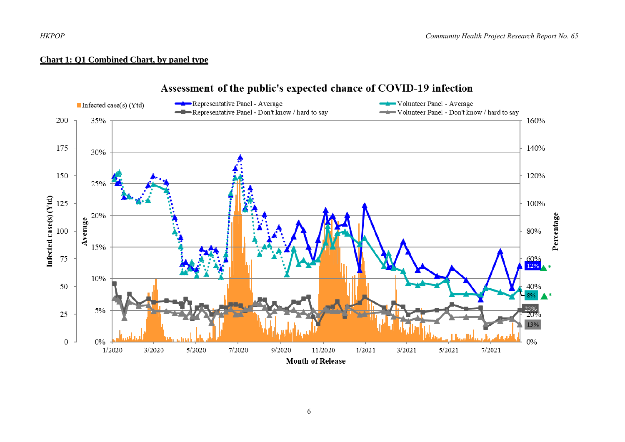#### **Chart 1: Q1 Combined Chart, by panel type**



#### Assessment of the public's expected chance of COVID-19 infection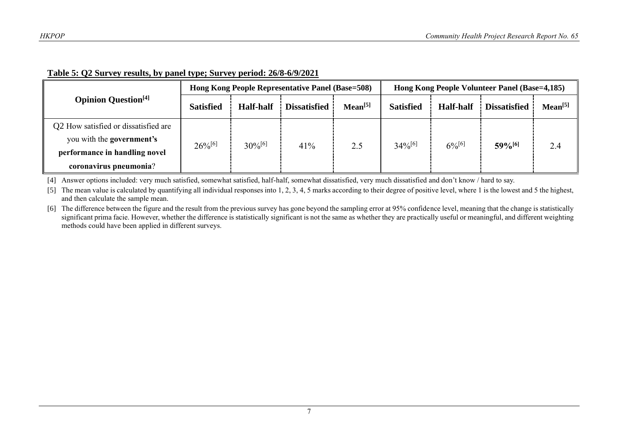|                                        |                  |                  | Hong Kong People Representative Panel (Base=508) |                     | Hong Kong People Volunteer Panel (Base=4,185) |                  |                      |                     |
|----------------------------------------|------------------|------------------|--------------------------------------------------|---------------------|-----------------------------------------------|------------------|----------------------|---------------------|
| <b>Opinion Question</b> <sup>[4]</sup> | <b>Satisfied</b> | <b>Half-half</b> | <b>Dissatisfied</b>                              | Mean <sup>[5]</sup> | <b>Satisfied</b>                              | <b>Half-half</b> | <b>Dissatisfied</b>  | Mean <sup>[5]</sup> |
| Q2 How satisfied or dissatisfied are   |                  |                  |                                                  |                     |                                               |                  |                      |                     |
| you with the <b>government's</b>       | $26\%^{[6]}$     | $30\%^{[6]}$     | 41%                                              | 2.5                 | $34\%^{[6]}$                                  | $6\%^{[6]}$      | $59%$ <sup>[6]</sup> | 2.4                 |
| performance in handling novel          |                  |                  |                                                  |                     |                                               |                  |                      |                     |
| coronavirus pneumonia?                 |                  |                  |                                                  |                     |                                               |                  |                      |                     |

#### **Table 5: Q2 Survey results, by panel type; Survey period: 26/8-6/9/2021**

[4] Answer options included: very much satisfied, somewhat satisfied, half-half, somewhat dissatisfied, very much dissatisfied and don't know / hard to say.

[5] The mean value is calculated by quantifying all individual responses into 1, 2, 3, 4, 5 marks according to their degree of positive level, where 1 is the lowest and 5 the highest, and then calculate the sample mean.

[6] The difference between the figure and the result from the previous survey has gone beyond the sampling error at 95% confidence level, meaning that the change is statistically significant prima facie. However, whether the difference is statistically significant is not the same as whether they are practically useful or meaningful, and different weighting methods could have been applied in different surveys.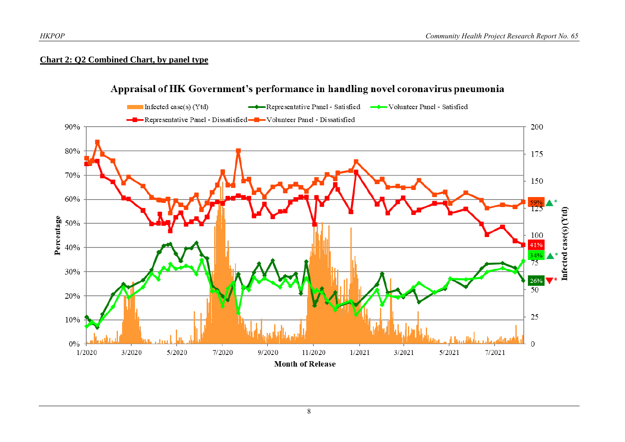#### **Chart 2: Q2 Combined Chart, by panel type**



## Appraisal of HK Government's performance in handling novel coronavirus pneumonia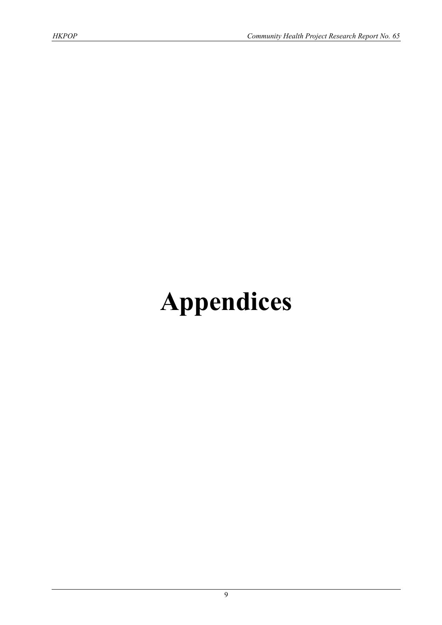# **Appendices**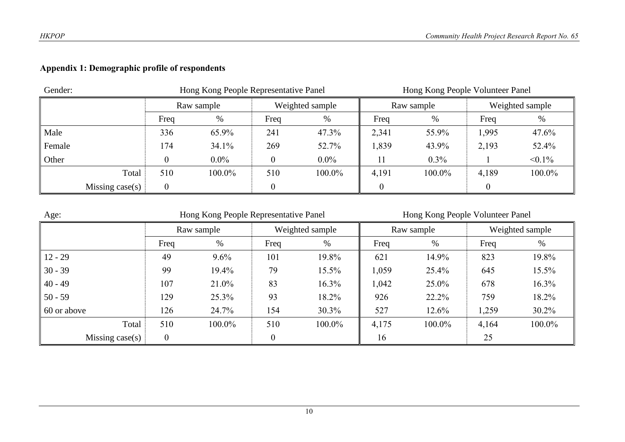## **Appendix 1: Demographic profile of respondents**

| Gender: |                   |            | Hong Kong People Representative Panel |      |                 | Hong Kong People Volunteer Panel |            |       |                 |  |
|---------|-------------------|------------|---------------------------------------|------|-----------------|----------------------------------|------------|-------|-----------------|--|
|         |                   | Raw sample |                                       |      | Weighted sample |                                  | Raw sample |       | Weighted sample |  |
|         |                   | Freq       | %                                     | Freq | %               | Freq                             | %          | Freq  | %               |  |
| Male    |                   | 336        | 65.9%                                 | 241  | 47.3%           | 2,341                            | 55.9%      | 1,995 | 47.6%           |  |
| Female  |                   | 174        | 34.1%                                 | 269  | 52.7%           | 1,839                            | 43.9%      | 2,193 | 52.4%           |  |
| Other   |                   |            | $0.0\%$                               |      | $0.0\%$         |                                  | 0.3%       |       | $< 0.1\%$       |  |
|         | Total             | 510        | 100.0%                                | 510  | 100.0%          | 4,191                            | 100.0%     | 4,189 | 100.0%          |  |
|         | Missing $case(s)$ | $\Omega$   |                                       |      |                 | $\theta$                         |            |       |                 |  |

| Age:              |                | Hong Kong People Representative Panel |          | Hong Kong People Volunteer Panel |       |            |       |                 |
|-------------------|----------------|---------------------------------------|----------|----------------------------------|-------|------------|-------|-----------------|
|                   |                | Raw sample                            |          | Weighted sample                  |       | Raw sample |       | Weighted sample |
|                   | Freq           | %                                     | Freq     | %                                | Freq  | %          | Freq  | %               |
| $12 - 29$         | 49             | 9.6%                                  | 101      | 19.8%                            | 621   | 14.9%      | 823   | 19.8%           |
| $30 - 39$         | 99             | 19.4%                                 | 79       | 15.5%                            | 1,059 | 25.4%      | 645   | 15.5%           |
| $40 - 49$         | 107            | 21.0%                                 | 83       | 16.3%                            | 1,042 | 25.0%      | 678   | 16.3%           |
| $50 - 59$         | 129            | 25.3%                                 | 93       | 18.2%                            | 926   | 22.2%      | 759   | 18.2%           |
| 60 or above       | 126            | 24.7%                                 | 154      | 30.3%                            | 527   | $12.6\%$   | 1,259 | 30.2%           |
| Total             | 510            | 100.0%                                | 510      | 100.0%                           | 4,175 | 100.0%     | 4,164 | 100.0%          |
| Missing $case(s)$ | $\overline{0}$ |                                       | $\theta$ |                                  | 16    |            | 25    |                 |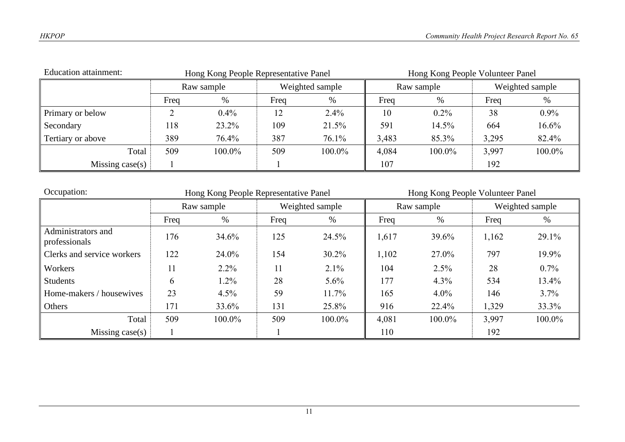| <b>Education attainment:</b><br>Hong Kong People Representative Panel |            |        |      |                 | Hong Kong People Volunteer Panel |            |       |                 |
|-----------------------------------------------------------------------|------------|--------|------|-----------------|----------------------------------|------------|-------|-----------------|
|                                                                       | Raw sample |        |      | Weighted sample |                                  | Raw sample |       | Weighted sample |
|                                                                       | Freq       | $\%$   | Freq | %               | Freq                             | %          | Freq  | %               |
| Primary or below                                                      |            | 0.4%   | 12   | 2.4%            | 10                               | $0.2\%$    | 38    | $0.9\%$         |
| Secondary                                                             | 118        | 23.2%  | 109  | 21.5%           | 591                              | 14.5%      | 664   | 16.6%           |
| Tertiary or above                                                     | 389        | 76.4%  | 387  | 76.1%           | 3,483                            | 85.3%      | 3,295 | 82.4%           |
| Total                                                                 | 509        | 100.0% | 509  | 100.0%          | 4,084                            | 100.0%     | 3,997 | 100.0%          |
| Missing case $(s)$                                                    |            |        |      |                 | 107                              |            | 192   |                 |

| Occupation:                         | Hong Kong People Representative Panel |            |      |                 |       | Hong Kong People Volunteer Panel |       |                 |  |
|-------------------------------------|---------------------------------------|------------|------|-----------------|-------|----------------------------------|-------|-----------------|--|
|                                     |                                       | Raw sample |      | Weighted sample |       | Raw sample                       |       | Weighted sample |  |
|                                     | Freq                                  | $\%$       | Freq | $\%$            | Freq  | %                                | Freq  | %               |  |
| Administrators and<br>professionals | 176                                   | 34.6%      | 125  | 24.5%           | 1,617 | 39.6%                            | 1,162 | 29.1%           |  |
| Clerks and service workers          | 122                                   | 24.0%      | 154  | $30.2\%$        | 1,102 | 27.0%                            | 797   | 19.9%           |  |
| Workers                             | 11                                    | $2.2\%$    | 11   | 2.1%            | 104   | $2.5\%$                          | 28    | $0.7\%$         |  |
| <b>Students</b>                     | 6                                     | 1.2%       | 28   | $5.6\%$         | 177   | $4.3\%$                          | 534   | 13.4%           |  |
| Home-makers / housewives            | 23                                    | $4.5\%$    | 59   | 11.7%           | 165   | $4.0\%$                          | 146   | 3.7%            |  |
| Others                              | 171                                   | 33.6%      | 131  | 25.8%           | 916   | 22.4%                            | 1,329 | 33.3%           |  |
| Total                               | 509                                   | 100.0%     | 509  | 100.0%          | 4,081 | 100.0%                           | 3,997 | 100.0%          |  |
| Missing $case(s)$                   |                                       |            |      |                 | 110   |                                  | 192   |                 |  |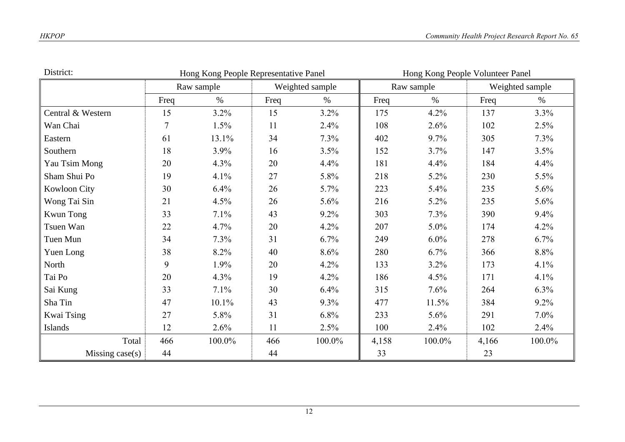| District:         | Hong Kong People Representative Panel |            |      |                 | Hong Kong People Volunteer Panel |            |       |                 |
|-------------------|---------------------------------------|------------|------|-----------------|----------------------------------|------------|-------|-----------------|
|                   |                                       | Raw sample |      | Weighted sample |                                  | Raw sample |       | Weighted sample |
|                   | Freq                                  | $\%$       | Freq | $\%$            | Freq                             | $\%$       | Freq  | $\%$            |
| Central & Western | 15                                    | $3.2\%$    | 15   | $3.2\%$         | 175                              | 4.2%       | 137   | 3.3%            |
| Wan Chai          | $\tau$                                | 1.5%       | 11   | 2.4%            | 108                              | 2.6%       | 102   | 2.5%            |
| Eastern           | 61                                    | 13.1%      | 34   | 7.3%            | 402                              | 9.7%       | 305   | 7.3%            |
| Southern          | 18                                    | 3.9%       | 16   | 3.5%            | 152                              | 3.7%       | 147   | 3.5%            |
| Yau Tsim Mong     | 20                                    | 4.3%       | 20   | 4.4%            | 181                              | 4.4%       | 184   | 4.4%            |
| Sham Shui Po      | 19                                    | 4.1%       | 27   | 5.8%            | 218                              | 5.2%       | 230   | $5.5\%$         |
| Kowloon City      | 30                                    | 6.4%       | 26   | 5.7%            | 223                              | 5.4%       | 235   | 5.6%            |
| Wong Tai Sin      | 21                                    | 4.5%       | 26   | 5.6%            | 216                              | 5.2%       | 235   | 5.6%            |
| <b>Kwun Tong</b>  | 33                                    | 7.1%       | 43   | $9.2\%$         | 303                              | 7.3%       | 390   | 9.4%            |
| Tsuen Wan         | 22                                    | 4.7%       | 20   | 4.2%            | 207                              | 5.0%       | 174   | 4.2%            |
| Tuen Mun          | 34                                    | 7.3%       | 31   | 6.7%            | 249                              | $6.0\%$    | 278   | 6.7%            |
| Yuen Long         | 38                                    | 8.2%       | 40   | 8.6%            | 280                              | 6.7%       | 366   | 8.8%            |
| North             | 9                                     | 1.9%       | 20   | 4.2%            | 133                              | 3.2%       | 173   | 4.1%            |
| Tai Po            | 20                                    | 4.3%       | 19   | 4.2%            | 186                              | 4.5%       | 171   | 4.1%            |
| Sai Kung          | 33                                    | 7.1%       | 30   | 6.4%            | 315                              | 7.6%       | 264   | $6.3\%$         |
| Sha Tin           | 47                                    | 10.1%      | 43   | 9.3%            | 477                              | 11.5%      | 384   | 9.2%            |
| Kwai Tsing        | 27                                    | 5.8%       | 31   | 6.8%            | 233                              | 5.6%       | 291   | $7.0\%$         |
| Islands           | 12                                    | 2.6%       | 11   | 2.5%            | 100                              | 2.4%       | 102   | 2.4%            |
| Total             | 466                                   | 100.0%     | 466  | 100.0%          | 4,158                            | 100.0%     | 4,166 | 100.0%          |
| Missing $case(s)$ | 44                                    |            | 44   |                 | 33                               |            | 23    |                 |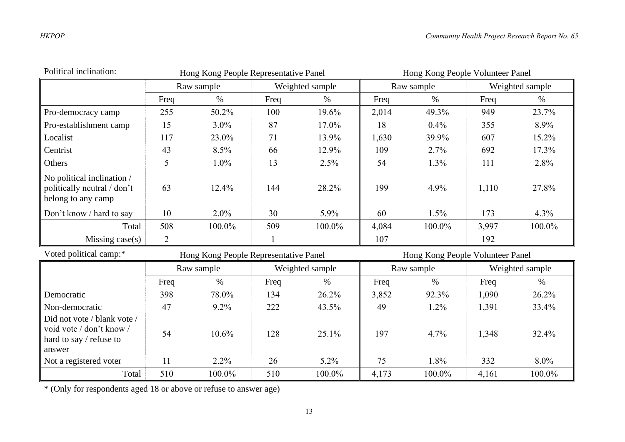| Political inclination:                                                                       | Hong Kong People Representative Panel |                                       |              |                 | Hong Kong People Volunteer Panel |                               |       |                 |
|----------------------------------------------------------------------------------------------|---------------------------------------|---------------------------------------|--------------|-----------------|----------------------------------|-------------------------------|-------|-----------------|
|                                                                                              |                                       | Raw sample                            |              | Weighted sample |                                  | Raw sample                    |       | Weighted sample |
|                                                                                              | Freq                                  | $\%$                                  | Freq         | $\%$            | Freq                             | $\%$                          | Freq  | $\%$            |
| Pro-democracy camp                                                                           | 255                                   | 50.2%                                 | 100          | 19.6%           | 2,014                            | 49.3%                         | 949   | 23.7%           |
| Pro-establishment camp                                                                       | 15                                    | 3.0%                                  | 87           | 17.0%           | 18                               | 0.4%                          | 355   | 8.9%            |
| Localist                                                                                     | 117                                   | 23.0%                                 | 71           | 13.9%           | 1,630                            | 39.9%                         | 607   | 15.2%           |
| Centrist                                                                                     | 43                                    | 8.5%                                  | 66           | 12.9%           | 109                              | 2.7%                          | 692   | 17.3%           |
| Others                                                                                       | 5                                     | 1.0%                                  | 13           | 2.5%            | 54                               | 1.3%                          | 111   | 2.8%            |
| No political inclination /<br>politically neutral / don't<br>belong to any camp              | 63                                    | 12.4%                                 | 144          | 28.2%           | 199                              | 4.9%                          | 1,110 | 27.8%           |
| Don't know / hard to say                                                                     | 10                                    | $2.0\%$                               | 30           | 5.9%            | 60                               | 1.5%                          | 173   | 4.3%            |
| Total                                                                                        | 508                                   | 100.0%                                | 509          | 100.0%          | 4,084                            | 100.0%                        | 3,997 | 100.0%          |
| Missing $case(s)$                                                                            | 2                                     |                                       | $\mathbf{1}$ |                 | 107                              |                               | 192   |                 |
| Voted political camp:*                                                                       |                                       | Hong Kong People Representative Panel |              |                 | Hong Kong People Volunteer Panel |                               |       |                 |
|                                                                                              |                                       | Raw sample                            |              | Weighted sample |                                  | Weighted sample<br>Raw sample |       |                 |
|                                                                                              | Freq                                  | $\%$                                  | Freq         | $\%$            | Freq                             | $\%$                          | Freq  | $\%$            |
| Democratic                                                                                   | 398                                   | 78.0%                                 | 134          | 26.2%           | 3,852                            | 92.3%                         | 1,090 | 26.2%           |
| Non-democratic                                                                               | 47                                    | 9.2%                                  | 222          | 43.5%           | 49                               | 1.2%                          | 1,391 | 33.4%           |
| Did not vote / blank vote /<br>void vote / don't know /<br>hard to say / refuse to<br>answer | 54                                    | 10.6%                                 | 128          | 25.1%           | 197                              | 4.7%                          | 1,348 | 32.4%           |
| Not a registered voter                                                                       | 11                                    | $2.2\%$                               | 26           | 5.2%            | 75                               | 1.8%                          | 332   | 8.0%            |
| Total                                                                                        | 510                                   | 100.0%                                | 510          | 100.0%          | 4,173                            | 100.0%                        | 4,161 | 100.0%          |

\* (Only for respondents aged 18 or above or refuse to answer age)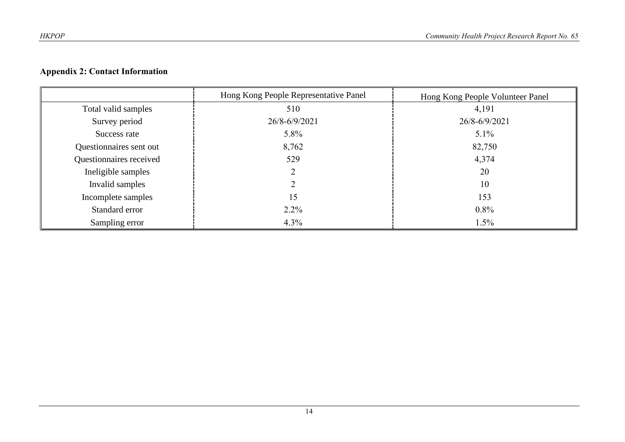#### **Appendix 2: Contact Information**

|                         | Hong Kong People Representative Panel | Hong Kong People Volunteer Panel |
|-------------------------|---------------------------------------|----------------------------------|
| Total valid samples     | 510                                   | 4,191                            |
| Survey period           | 26/8-6/9/2021                         | 26/8-6/9/2021                    |
| Success rate            | 5.8%                                  | $5.1\%$                          |
| Questionnaires sent out | 8,762                                 | 82,750                           |
| Questionnaires received | 529                                   | 4,374                            |
| Ineligible samples      |                                       | 20                               |
| Invalid samples         |                                       | 10                               |
| Incomplete samples      | 15                                    | 153                              |
| Standard error          | $2.2\%$                               | $0.8\%$                          |
| Sampling error          | $4.3\%$                               | 1.5%                             |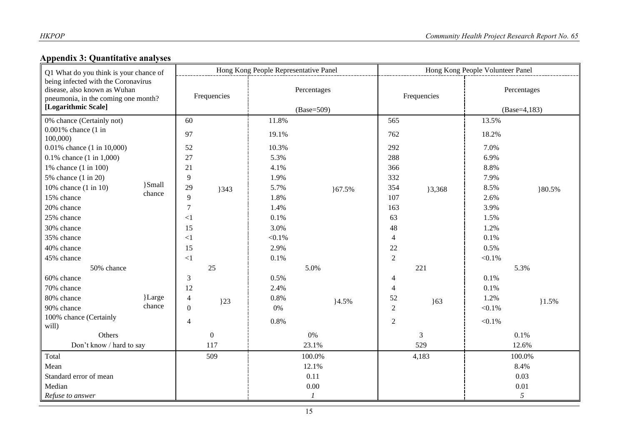## **Appendix 3: Quantitative analyses**

| Q1 What do you think is your chance of<br>being infected with the Coronavirus<br>disease, also known as Wuhan<br>pneumonia, in the coming one month?<br>[Logarithmic Scale] |                  | Hong Kong People Representative Panel |                  |                             |        | Hong Kong People Volunteer Panel |                                                   |                               |        |
|-----------------------------------------------------------------------------------------------------------------------------------------------------------------------------|------------------|---------------------------------------|------------------|-----------------------------|--------|----------------------------------|---------------------------------------------------|-------------------------------|--------|
|                                                                                                                                                                             |                  | Frequencies                           |                  | Percentages<br>$(Base=509)$ |        | Frequencies                      |                                                   | Percentages<br>$(Base=4,183)$ |        |
| 0% chance (Certainly not)                                                                                                                                                   |                  | 60                                    |                  | 11.8%                       |        | 565                              |                                                   | 13.5%                         |        |
| $0.001\%$ chance $(1 \text{ in }$                                                                                                                                           |                  | 97                                    |                  | 19.1%                       |        | 762                              |                                                   | 18.2%                         |        |
| 100,000)                                                                                                                                                                    |                  |                                       |                  |                             |        |                                  |                                                   |                               |        |
| 0.01% chance (1 in 10,000)                                                                                                                                                  |                  | 52                                    |                  | 10.3%                       |        | 292                              |                                                   | 7.0%                          |        |
| $0.1\%$ chance $(1 \text{ in } 1,000)$                                                                                                                                      |                  | 27                                    |                  | 5.3%                        |        | 288                              |                                                   | 6.9%                          |        |
| 1% chance (1 in 100)                                                                                                                                                        |                  | 21                                    |                  | 4.1%                        |        | 366                              |                                                   | 8.8%                          |        |
| 5% chance (1 in 20)                                                                                                                                                         |                  | 9                                     |                  | 1.9%                        |        | 332                              |                                                   | 7.9%                          |        |
| 10% chance (1 in 10)                                                                                                                                                        | }Small<br>chance | 29                                    | 343              | 5.7%                        | }67.5% | 354                              | 3,368                                             | 8.5%                          | }80.5% |
| 15% chance                                                                                                                                                                  |                  | 9                                     |                  | 1.8%                        |        | 107                              | 3.9%<br>1.5%<br>1.2%<br>0.1%<br>0.5%<br>$< 0.1\%$ | 2.6%                          |        |
| 20% chance                                                                                                                                                                  |                  | $\overline{7}$                        |                  | 1.4%                        |        | 163                              |                                                   |                               |        |
| 25% chance                                                                                                                                                                  |                  | $<$ 1                                 |                  | 0.1%                        |        | 63                               |                                                   |                               |        |
| 30% chance                                                                                                                                                                  |                  | 15                                    |                  | 3.0%                        |        | 48                               |                                                   |                               |        |
| 35% chance                                                                                                                                                                  |                  | <1                                    |                  | $< 0.1\%$                   |        | $\overline{4}$                   |                                                   |                               |        |
| 40% chance                                                                                                                                                                  |                  | 15                                    |                  | 2.9%                        |        | 22                               |                                                   |                               |        |
| 45% chance                                                                                                                                                                  |                  | $\leq$ 1                              |                  | 0.1%                        |        | $\overline{2}$                   |                                                   |                               |        |
| 50% chance                                                                                                                                                                  |                  |                                       | 25               |                             | 5.0%   |                                  | 221                                               |                               | 5.3%   |
| 60% chance                                                                                                                                                                  |                  | 3                                     |                  | 0.5%                        |        | 4                                |                                                   | 0.1%                          |        |
| 70% chance                                                                                                                                                                  |                  | 12                                    |                  | 2.4%                        |        | 4                                |                                                   | 0.1%                          |        |
| 80% chance                                                                                                                                                                  | }Large           | $\overline{4}$                        | $\overline{)23}$ | 0.8%                        | 4.5%   | 52                               | $\overline{63}$                                   | 1.2%                          | 1.5%   |
| 90% chance                                                                                                                                                                  | chance           | $\mathbf{0}$                          |                  | 0%                          |        | $\overline{2}$                   |                                                   | $< 0.1\%$                     |        |
| 100% chance (Certainly<br>will)                                                                                                                                             |                  | $\overline{4}$                        |                  | 0.8%                        |        | $\overline{2}$                   |                                                   | $< 0.1\%$                     |        |
| Others                                                                                                                                                                      |                  | $\overline{0}$                        |                  | 0%                          |        | $\mathfrak{Z}$                   |                                                   | 0.1%                          |        |
| Don't know / hard to say                                                                                                                                                    |                  | 117                                   |                  | 23.1%                       |        | 529                              |                                                   | 12.6%                         |        |
| Total                                                                                                                                                                       |                  | 509                                   |                  | 100.0%                      |        | 4,183                            |                                                   | 100.0%                        |        |
| Mean                                                                                                                                                                        |                  |                                       | 12.1%            |                             |        |                                  | 8.4%                                              |                               |        |
| Standard error of mean                                                                                                                                                      |                  |                                       |                  | 0.11                        |        |                                  |                                                   | 0.03                          |        |
| Median                                                                                                                                                                      |                  |                                       |                  | $0.00\,$                    |        |                                  |                                                   | 0.01                          |        |
| Refuse to answer                                                                                                                                                            |                  |                                       |                  |                             |        |                                  | 5                                                 |                               |        |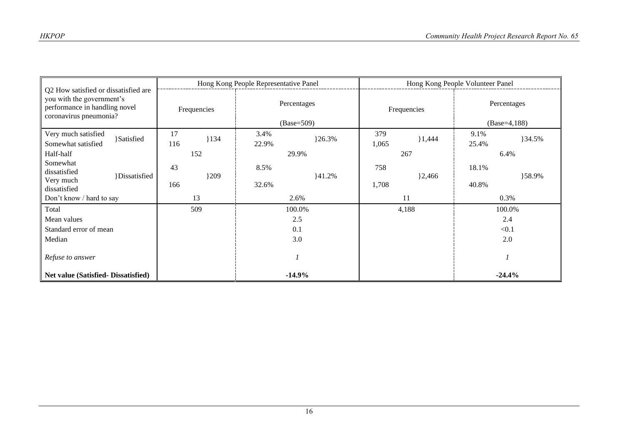| Q2 How satisfied or dissatisfied are<br>you with the government's<br>performance in handling novel<br>coronavirus pneumonia? |           | Hong Kong People Representative Panel |                             |            |              | Hong Kong People Volunteer Panel |                               |          |  |
|------------------------------------------------------------------------------------------------------------------------------|-----------|---------------------------------------|-----------------------------|------------|--------------|----------------------------------|-------------------------------|----------|--|
|                                                                                                                              |           | Frequencies                           | Percentages<br>$(Base=509)$ |            | Frequencies  |                                  | Percentages<br>$(Base=4,188)$ |          |  |
| Very much satisfied<br><b>Satisfied</b><br>Somewhat satisfied                                                                | 17<br>116 | 134                                   | 3.4%<br>22.9%               | $\{26.3\%$ | 379<br>1,065 | 1,444                            | 9.1%<br>25.4%                 | }34.5%   |  |
| Half-half                                                                                                                    |           | 152                                   | 29.9%                       |            | 267          |                                  | 6.4%                          |          |  |
| Somewhat<br>dissatisfied<br>}Dissatisfied<br>Very much<br>dissatisfied                                                       | 43<br>166 | 1209                                  | 8.5%<br>32.6%               | 141.2%     | 758<br>1,708 | $\}2,466$                        | 18.1%<br>40.8%                | }58.9%   |  |
| Don't know / hard to say                                                                                                     |           | 13                                    | 2.6%                        |            | 11           |                                  | 0.3%                          |          |  |
| Total                                                                                                                        |           | 509                                   | 100.0%                      |            | 4,188        |                                  | 100.0%                        |          |  |
| Mean values                                                                                                                  |           |                                       | 2.5                         |            |              |                                  | 2.4                           |          |  |
| Standard error of mean                                                                                                       |           |                                       | 0.1                         |            |              |                                  | < 0.1                         |          |  |
| Median                                                                                                                       |           |                                       | 3.0                         |            |              |                                  | 2.0                           |          |  |
| Refuse to answer                                                                                                             |           |                                       |                             |            |              |                                  |                               |          |  |
| <b>Net value (Satisfied- Dissatisfied)</b>                                                                                   |           |                                       |                             | $-14.9%$   |              |                                  |                               | $-24.4%$ |  |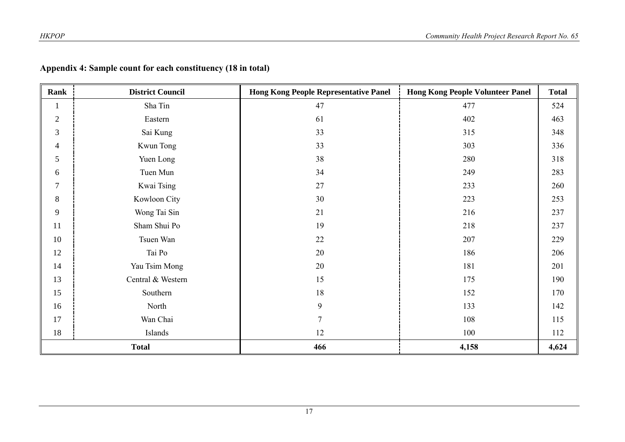| Rank           | <b>District Council</b> | <b>Hong Kong People Representative Panel</b> | <b>Hong Kong People Volunteer Panel</b> | <b>Total</b> |
|----------------|-------------------------|----------------------------------------------|-----------------------------------------|--------------|
| $\mathbf{1}$   | Sha Tin                 | 47                                           | 477                                     | 524          |
| $\sqrt{2}$     | Eastern                 | 61                                           | 402                                     | 463          |
| $\mathfrak{Z}$ | Sai Kung                | 33                                           | 315                                     | 348          |
| $\overline{4}$ | Kwun Tong               | 33                                           | 303                                     | 336          |
| 5              | Yuen Long               | 38                                           | 280                                     | 318          |
| 6              | Tuen Mun                | 34                                           | 249                                     | 283          |
| $\overline{7}$ | Kwai Tsing              | 27                                           | 233                                     | 260          |
| $\, 8$         | Kowloon City            | 30                                           | 223                                     | 253          |
| $\overline{9}$ | Wong Tai Sin            | 21                                           | 216                                     | 237          |
| 11             | Sham Shui Po            | 19                                           | 218                                     | 237          |
| 10             | Tsuen Wan               | 22                                           | 207                                     | 229          |
| 12             | Tai Po                  | 20                                           | 186                                     | 206          |
| 14             | Yau Tsim Mong           | 20                                           | 181                                     | 201          |
| 13             | Central & Western       | 15                                           | 175                                     | 190          |
| 15             | Southern                | 18                                           | 152                                     | 170          |
| 16             | North                   | 9                                            | 133                                     | 142          |
| 17             | Wan Chai                | 7                                            | 108                                     | 115          |
| 18             | Islands                 | 12                                           | 100                                     | 112          |
| <b>Total</b>   |                         | 466                                          | 4,158                                   | 4,624        |

## **Appendix 4: Sample count for each constituency (18 in total)**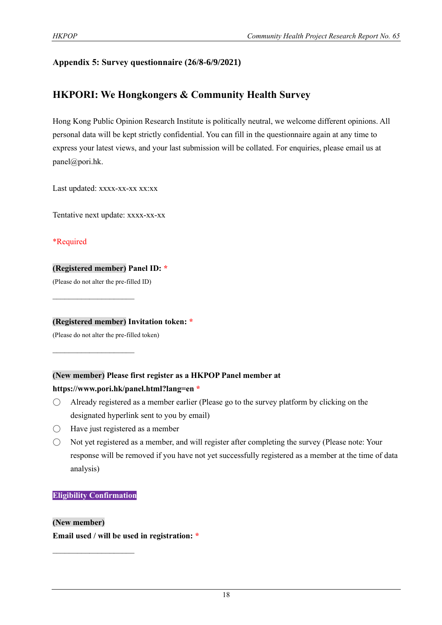#### **Appendix 5: Survey questionnaire (26/8-6/9/2021)**

## **HKPORI: We Hongkongers & Community Health Survey**

Hong Kong Public Opinion Research Institute is politically neutral, we welcome different opinions. All personal data will be kept strictly confidential. You can fill in the questionnaire again at any time to express your latest views, and your last submission will be collated. For enquiries, please email us at panel@pori.hk.

Last updated: xxxx-xx-xx xx:xx

Tentative next update: xxxx-xx-xx

\*Required

#### **(Registered member) Panel ID: \***

(Please do not alter the pre-filled ID)

 $\mathcal{L}_\text{max}$  , where  $\mathcal{L}_\text{max}$ 

 $\mathcal{L}_\text{max}$  , where  $\mathcal{L}_\text{max}$ 

**(Registered member) Invitation token: \***

(Please do not alter the pre-filled token)

#### **(New member) Please first register as a HKPOP Panel member at**

#### **https://www.pori.hk/panel.html?lang=en \***

- $\bigcirc$  Already registered as a member earlier (Please go to the survey platform by clicking on the designated hyperlink sent to you by email)
- $\bigcirc$  Have just registered as a member
- Not yet registered as a member, and will register after completing the survey (Please note: Your response will be removed if you have not yet successfully registered as a member at the time of data analysis)

#### **Eligibility Confirmation**

 $\mathcal{L}_\text{max}$ 

#### **(New member)**

**Email used / will be used in registration: \***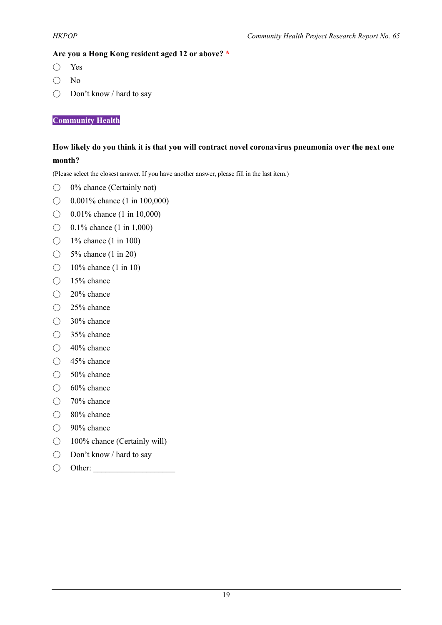#### **Are you a Hong Kong resident aged 12 or above? \***

- Yes
- No
- Don't know / hard to say

**Community Health**

#### **How likely do you think it is that you will contract novel coronavirus pneumonia over the next one month?**

(Please select the closest answer. If you have another answer, please fill in the last item.)

- 0% chance (Certainly not)
- $\bigcirc$  0.001% chance (1 in 100,000)
- ◯ 0.01% chance (1 in 10,000)
- $\bigcirc$  0.1% chance (1 in 1,000)
- $\bigcirc$  1% chance (1 in 100)
- 5% chance (1 in 20)
- $\bigcirc$  10% chance (1 in 10)
- 15% chance
- 20% chance
- 25% chance
- 30% chance
- 35% chance
- 40% chance
- 45% chance
- $\bigcirc$  50% chance
- $\bigcirc$  60% chance
- 70% chance
- 80% chance
- 90% chance
- 100% chance (Certainly will)
- Don't know / hard to say
- $\bigcirc$  Other: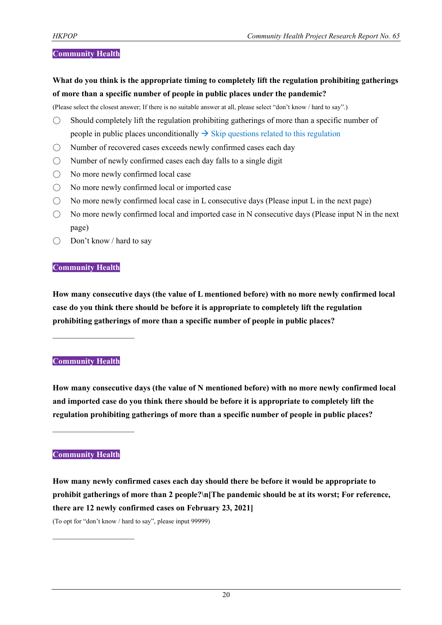#### **Community Health**

**What do you think is the appropriate timing to completely lift the regulation prohibiting gatherings of more than a specific number of people in public places under the pandemic?**

(Please select the closest answer; If there is no suitable answer at all, please select "don't know / hard to say".)

- $\bigcirc$  Should completely lift the regulation prohibiting gatherings of more than a specific number of people in public places unconditionally  $\rightarrow$  Skip questions related to this regulation
- Number of recovered cases exceeds newly confirmed cases each day
- $\bigcirc$  Number of newly confirmed cases each day falls to a single digit
- No more newly confirmed local case
- No more newly confirmed local or imported case
- $\bigcirc$  No more newly confirmed local case in L consecutive days (Please input L in the next page)
- $\bigcirc$  No more newly confirmed local and imported case in N consecutive days (Please input N in the next page)
- Don't know / hard to say

#### **Community Health**

**How many consecutive days (the value of L mentioned before) with no more newly confirmed local case do you think there should be before it is appropriate to completely lift the regulation prohibiting gatherings of more than a specific number of people in public places?**

#### **Community Health**

 $\mathcal{L}_\text{max}$  , where  $\mathcal{L}_\text{max}$ 

**How many consecutive days (the value of N mentioned before) with no more newly confirmed local and imported case do you think there should be before it is appropriate to completely lift the regulation prohibiting gatherings of more than a specific number of people in public places?**

 $\mathcal{L}_\text{max}$  , where  $\mathcal{L}_\text{max}$ 

 $\mathcal{L}_\text{max}$ 

#### **Community Health**

**How many newly confirmed cases each day should there be before it would be appropriate to prohibit gatherings of more than 2 people?\n[The pandemic should be at its worst; For reference, there are 12 newly confirmed cases on February 23, 2021]** (To opt for "don't know / hard to say", please input 99999)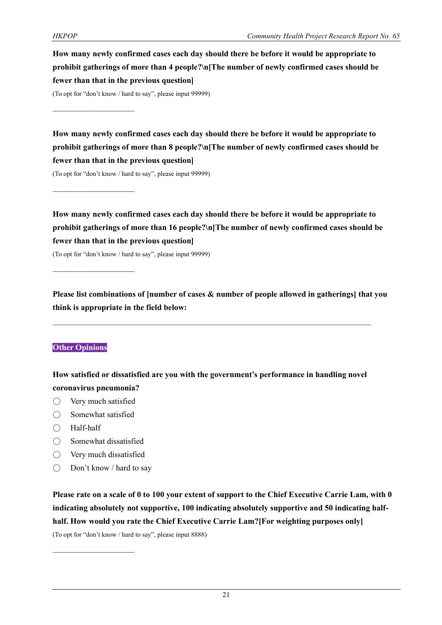**How many newly confirmed cases each day should there be before it would be appropriate to prohibit gatherings of more than 4 people?\n[The number of newly confirmed cases should be fewer than that in the previous question]**

(To opt for "don't know / hard to say", please input 99999)

 $\mathcal{L}_\text{max}$ 

 $\mathcal{L}_\text{max}$ 

**How many newly confirmed cases each day should there be before it would be appropriate to prohibit gatherings of more than 8 people?\n[The number of newly confirmed cases should be fewer than that in the previous question]**

(To opt for "don't know / hard to say", please input 99999)

**How many newly confirmed cases each day should there be before it would be appropriate to prohibit gatherings of more than 16 people?\n[The number of newly confirmed cases should be fewer than that in the previous question]**

(To opt for "don't know / hard to say", please input 99999)

**Please list combinations of [number of cases & number of people allowed in gatherings] that you think is appropriate in the field below:**

#### **Other Opinions**

**How satisfied or dissatisfied are you with the government's performance in handling novel coronavirus pneumonia?**

- Very much satisfied
- $\bigcirc$  Somewhat satisfied
- Half-half
- Somewhat dissatisfied
- Very much dissatisfied

 $\mathcal{L}_\text{max}$ 

 $\bigcirc$  Don't know / hard to say

**Please rate on a scale of 0 to 100 your extent of support to the Chief Executive Carrie Lam, with 0 indicating absolutely not supportive, 100 indicating absolutely supportive and 50 indicating halfhalf. How would you rate the Chief Executive Carrie Lam?[For weighting purposes only]**

(To opt for "don't know / hard to say", please input 8888)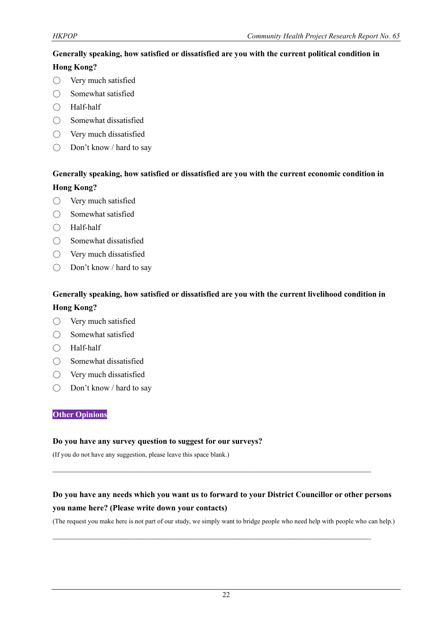#### **Generally speaking, how satisfied or dissatisfied are you with the current political condition in**

#### **Hong Kong?**

- Very much satisfied
- Somewhat satisfied
- Half-half
- $\bigcirc$  Somewhat dissatisfied
- Very much dissatisfied
- Don't know / hard to say

#### **Generally speaking, how satisfied or dissatisfied are you with the current economic condition in Hong Kong?**

- Very much satisfied
- Somewhat satisfied
- Half-half
- Somewhat dissatisfied
- Very much dissatisfied
- Don't know / hard to say

#### **Generally speaking, how satisfied or dissatisfied are you with the current livelihood condition in**

#### **Hong Kong?**

- Very much satisfied
- Somewhat satisfied
- Half-half
- Somewhat dissatisfied
- Very much dissatisfied
- Don't know / hard to say

#### **Other Opinions**

#### **Do you have any survey question to suggest for our surveys?**

(If you do not have any suggestion, please leave this space blank.)

## **Do you have any needs which you want us to forward to your District Councillor or other persons you name here? (Please write down your contacts)**

 $\mathcal{L}_\text{max}$  and  $\mathcal{L}_\text{max}$  and  $\mathcal{L}_\text{max}$  and  $\mathcal{L}_\text{max}$  and  $\mathcal{L}_\text{max}$  and  $\mathcal{L}_\text{max}$ 

 $\mathcal{L}_\mathcal{L} = \{ \mathcal{L}_\mathcal{L} = \{ \mathcal{L}_\mathcal{L} = \{ \mathcal{L}_\mathcal{L} = \{ \mathcal{L}_\mathcal{L} = \{ \mathcal{L}_\mathcal{L} = \{ \mathcal{L}_\mathcal{L} = \{ \mathcal{L}_\mathcal{L} = \{ \mathcal{L}_\mathcal{L} = \{ \mathcal{L}_\mathcal{L} = \{ \mathcal{L}_\mathcal{L} = \{ \mathcal{L}_\mathcal{L} = \{ \mathcal{L}_\mathcal{L} = \{ \mathcal{L}_\mathcal{L} = \{ \mathcal{L}_\mathcal{$ 

(The request you make here is not part of our study, we simply want to bridge people who need help with people who can help.)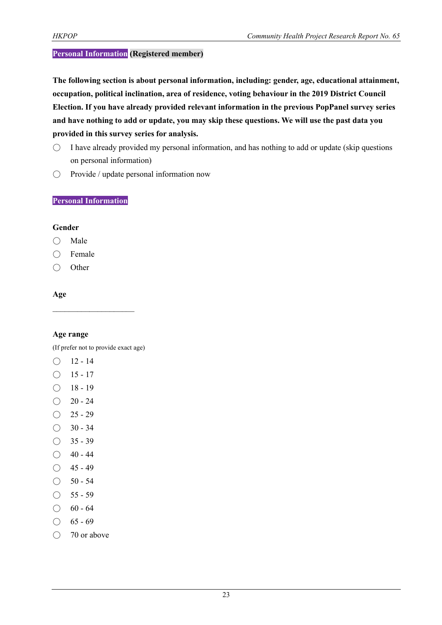#### **Personal Information (Registered member)**

**The following section is about personal information, including: gender, age, educational attainment, occupation, political inclination, area of residence, voting behaviour in the 2019 District Council Election. If you have already provided relevant information in the previous PopPanel survey series and have nothing to add or update, you may skip these questions. We will use the past data you provided in this survey series for analysis.**

- $\circ$  I have already provided my personal information, and has nothing to add or update (skip questions on personal information)
- Provide / update personal information now

#### **Personal Information**

#### **Gender**

- Male
- Female
- Other

#### **Age**

#### **Age range**

(If prefer not to provide exact age)

- $O$  12 14
- $\bigcirc$  15 17
- $\bigcirc$  18 19
- $\bigcirc$  20 24
- $O$  25 29
- $\bigcirc$  30 34
- $\bigcirc$  35 39
- $\bigcirc$  40 44
- $\bigcirc$  45 49
- $\bigcirc$  50 54
- $\bigcirc$  55 59
- $\bigcirc$  60 64
- $\bigcirc$  65 69
- 70 or above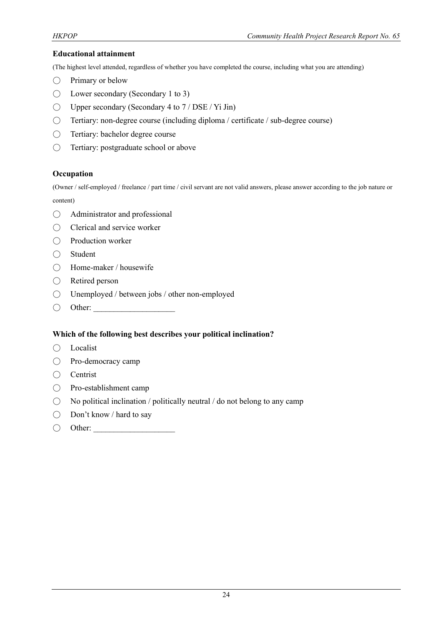#### **Educational attainment**

(The highest level attended, regardless of whether you have completed the course, including what you are attending)

- $\bigcirc$  Primary or below
- $\bigcirc$  Lower secondary (Secondary 1 to 3)
- $\bigcirc$  Upper secondary (Secondary 4 to 7 / DSE / Yi Jin)
- Tertiary: non-degree course (including diploma / certificate / sub-degree course)
- Tertiary: bachelor degree course
- Tertiary: postgraduate school or above

#### **Occupation**

(Owner / self-employed / freelance / part time / civil servant are not valid answers, please answer according to the job nature or content)

- Administrator and professional
- Clerical and service worker
- Production worker
- Student
- Home-maker / housewife
- Retired person
- Unemployed / between jobs / other non-employed
- $\bigcirc$  Other:

#### **Which of the following best describes your political inclination?**

- Localist
- Pro-democracy camp
- Centrist
- Pro-establishment camp
- $\bigcirc$  No political inclination / politically neutral / do not belong to any camp
- Don't know / hard to say
- $\bigcirc$  Other: